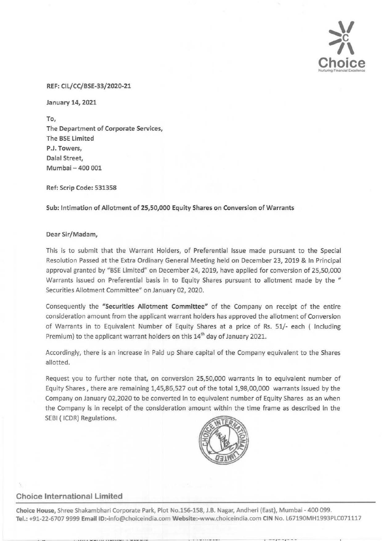

#### REF: Cll/CC/BSE-33/2020-21

January 14, 2021

To, The Department of Corporate Services, The BSE limited P.J. Towers, Dalal Street, Mumbai- 400 001

Ref: Scrip Code: 531358

Sub: Intimation of Allotment of 25,50,000 Equity Shares on Conversion of Warrants

#### Dear Sir/Madam,

This is to submit that the Warrant Holders, of Preferential Issue made pursuant to the Special Resolution Passed at the Extra Ordinary General Meeting held on December 23, 2019 & In Principal approval granted by "BSE Limited" on December 24, 2019, have applied for conversion of 25,50,000 Warrants issued on Preferential basis in to Equity Shares pursuant to allotment made by the " Securities Allotment Committee" on January 02, 2020.

Consequently the "Securities Allotment Committee" of the Company on receipt of the entire consideration amount from the applicant warrant holders has approved the allotment of Conversion of Warrants in to Equivalent Number of Equity Shares at a price of Rs. 51/- each ( Including Premium) to the applicant warrant holders on this  $14<sup>th</sup>$  day of January 2021.

Accordingly, there is an increase in Paid up Share capital of the Company equivalent to the Shares allotted.

Request you to further note that, on conversion 25,50,000 warrants in to equivalent number of Equity Shares, there are remaining 1,45,86,527 out of the total 1,98,00,000 warrants issued by the Company on January 02,2020 to be converted in to equivalent number of Equity Shares as an when the Company is in receipt of the consideration amount within the time frame as described in the SEBI ( ICDR) Regulations.



## **Choice International Limited**

Choice House, Shree Shakambhari Corporate Park, Plot No.156-158, J.B. Nagar, Andheri (East), Mumbai- 400 099. Tel.: +91-22-6707 9999 Email ID:-info@choiceindia.com Website:-www.choiceindia.com CIN No. L67190MH1993PLC071117